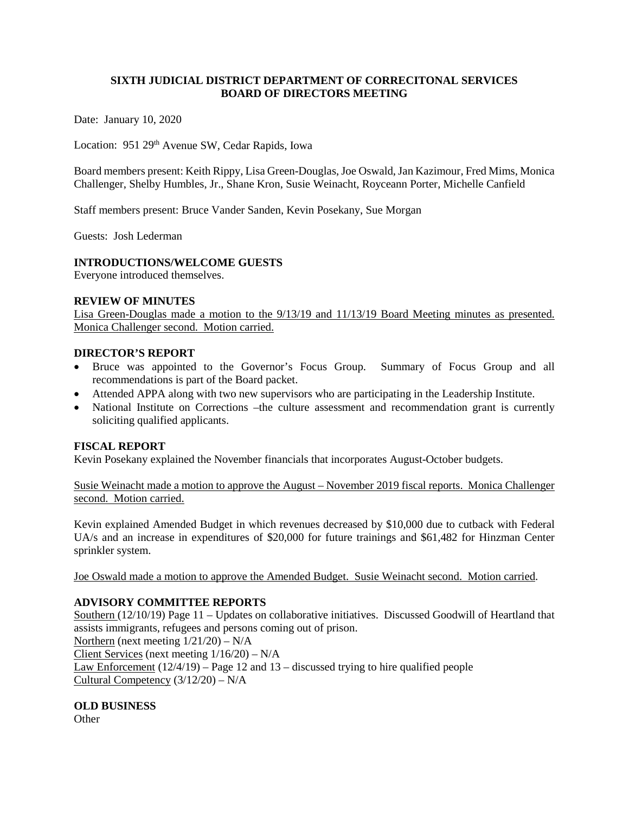### **SIXTH JUDICIAL DISTRICT DEPARTMENT OF CORRECITONAL SERVICES BOARD OF DIRECTORS MEETING**

Date: January 10, 2020

Location: 951 29<sup>th</sup> Avenue SW, Cedar Rapids, Iowa

Board members present: Keith Rippy, Lisa Green-Douglas, Joe Oswald, Jan Kazimour, Fred Mims, Monica Challenger, Shelby Humbles, Jr., Shane Kron, Susie Weinacht, Royceann Porter, Michelle Canfield

Staff members present: Bruce Vander Sanden, Kevin Posekany, Sue Morgan

Guests: Josh Lederman

#### **INTRODUCTIONS/WELCOME GUESTS**

Everyone introduced themselves.

#### **REVIEW OF MINUTES**

Lisa Green-Douglas made a motion to the 9/13/19 and 11/13/19 Board Meeting minutes as presented. Monica Challenger second. Motion carried.

#### **DIRECTOR'S REPORT**

- Bruce was appointed to the Governor's Focus Group. Summary of Focus Group and all recommendations is part of the Board packet.
- Attended APPA along with two new supervisors who are participating in the Leadership Institute.
- National Institute on Corrections –the culture assessment and recommendation grant is currently soliciting qualified applicants.

### **FISCAL REPORT**

Kevin Posekany explained the November financials that incorporates August-October budgets.

Susie Weinacht made a motion to approve the August – November 2019 fiscal reports. Monica Challenger second. Motion carried.

Kevin explained Amended Budget in which revenues decreased by \$10,000 due to cutback with Federal UA/s and an increase in expenditures of \$20,000 for future trainings and \$61,482 for Hinzman Center sprinkler system.

Joe Oswald made a motion to approve the Amended Budget. Susie Weinacht second. Motion carried.

### **ADVISORY COMMITTEE REPORTS**

Southern (12/10/19) Page 11 – Updates on collaborative initiatives. Discussed Goodwill of Heartland that assists immigrants, refugees and persons coming out of prison.

Northern (next meeting  $1/21/20$ ) – N/A

Client Services (next meeting 1/16/20) – N/A

Law Enforcement (12/4/19) – Page 12 and 13 – discussed trying to hire qualified people Cultural Competency (3/12/20) – N/A

### **OLD BUSINESS**

**Other**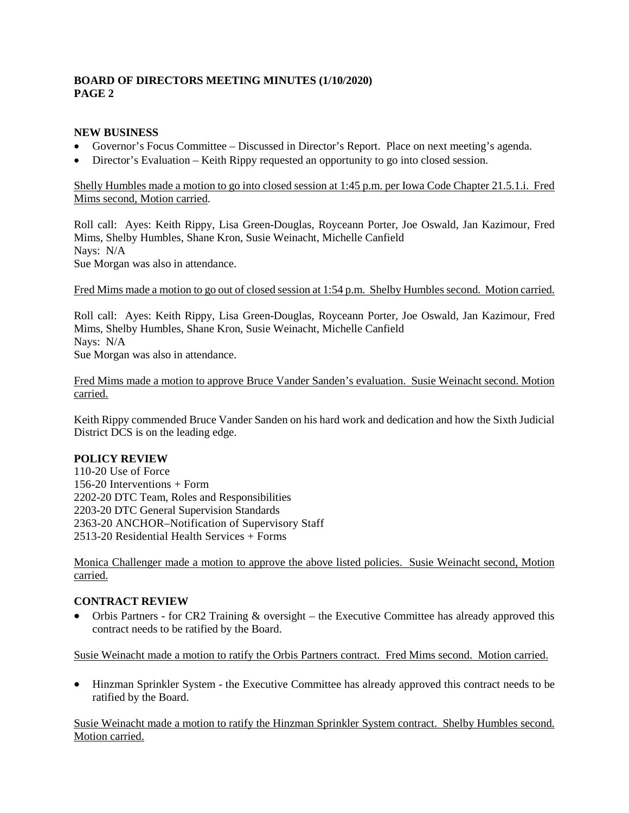# **BOARD OF DIRECTORS MEETING MINUTES (1/10/2020) PAGE 2**

# **NEW BUSINESS**

- Governor's Focus Committee Discussed in Director's Report. Place on next meeting's agenda.
- Director's Evaluation Keith Rippy requested an opportunity to go into closed session.

# Shelly Humbles made a motion to go into closed session at 1:45 p.m. per Iowa Code Chapter 21.5.1.i. Fred Mims second, Motion carried.

Roll call: Ayes: Keith Rippy, Lisa Green-Douglas, Royceann Porter, Joe Oswald, Jan Kazimour, Fred Mims, Shelby Humbles, Shane Kron, Susie Weinacht, Michelle Canfield Nays: N/A

Sue Morgan was also in attendance.

#### Fred Mims made a motion to go out of closed session at 1:54 p.m. Shelby Humbles second. Motion carried.

Roll call: Ayes: Keith Rippy, Lisa Green-Douglas, Royceann Porter, Joe Oswald, Jan Kazimour, Fred Mims, Shelby Humbles, Shane Kron, Susie Weinacht, Michelle Canfield Nays: N/A Sue Morgan was also in attendance.

Fred Mims made a motion to approve Bruce Vander Sanden's evaluation. Susie Weinacht second. Motion carried.

Keith Rippy commended Bruce Vander Sanden on his hard work and dedication and how the Sixth Judicial District DCS is on the leading edge.

### **POLICY REVIEW**

110-20 Use of Force 156-20 Interventions + Form 2202-20 DTC Team, Roles and Responsibilities 2203-20 DTC General Supervision Standards 2363-20 ANCHOR–Notification of Supervisory Staff 2513-20 Residential Health Services + Forms

Monica Challenger made a motion to approve the above listed policies. Susie Weinacht second, Motion carried.

### **CONTRACT REVIEW**

• Orbis Partners - for CR2 Training & oversight – the Executive Committee has already approved this contract needs to be ratified by the Board.

Susie Weinacht made a motion to ratify the Orbis Partners contract. Fred Mims second. Motion carried.

• Hinzman Sprinkler System - the Executive Committee has already approved this contract needs to be ratified by the Board.

Susie Weinacht made a motion to ratify the Hinzman Sprinkler System contract. Shelby Humbles second. Motion carried.